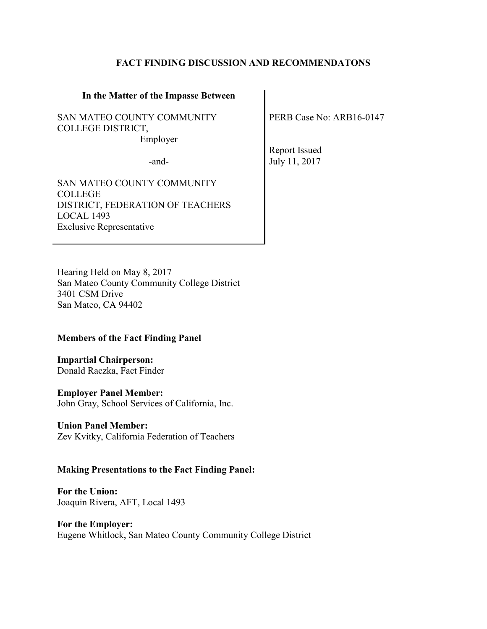## **FACT FINDING DISCUSSION AND RECOMMENDATONS**

#### **In the Matter of the Impasse Between**

SAN MATEO COUNTY COMMUNITY COLLEGE DISTRICT, Employer

SAN MATEO COUNTY COMMUNITY COLLEGE DISTRICT, FEDERATION OF TEACHERS LOCAL 1493 Exclusive Representative

PERB Case No: ARB16-0147

Report Issued -and- July 11, 2017

Hearing Held on May 8, 2017 San Mateo County Community College District 3401 CSM Drive San Mateo, CA 94402

## **Members of the Fact Finding Panel**

**Impartial Chairperson:** Donald Raczka, Fact Finder

## **Employer Panel Member:**

John Gray, School Services of California, Inc.

## **Union Panel Member:**

Zev Kvitky, California Federation of Teachers

## **Making Presentations to the Fact Finding Panel:**

**For the Union:**  Joaquin Rivera, AFT, Local 1493

**For the Employer:** Eugene Whitlock, San Mateo County Community College District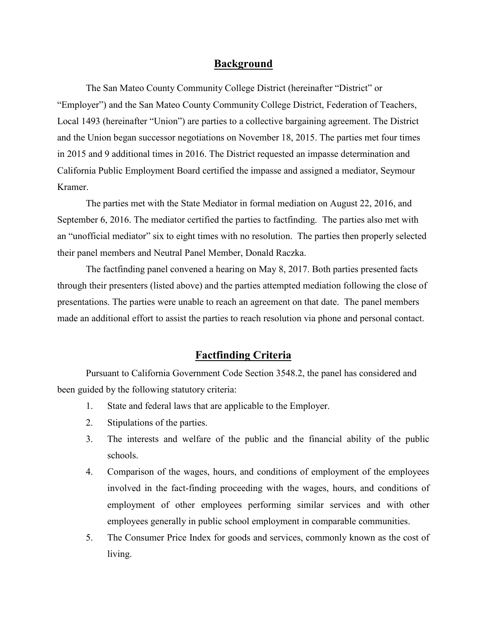## **Background**

The San Mateo County Community College District (hereinafter "District" or "Employer") and the San Mateo County Community College District, Federation of Teachers, Local 1493 (hereinafter "Union") are parties to a collective bargaining agreement. The District and the Union began successor negotiations on November 18, 2015. The parties met four times in 2015 and 9 additional times in 2016. The District requested an impasse determination and California Public Employment Board certified the impasse and assigned a mediator, Seymour Kramer.

The parties met with the State Mediator in formal mediation on August 22, 2016, and September 6, 2016. The mediator certified the parties to factfinding. The parties also met with an "unofficial mediator" six to eight times with no resolution. The parties then properly selected their panel members and Neutral Panel Member, Donald Raczka.

The factfinding panel convened a hearing on May 8, 2017. Both parties presented facts through their presenters (listed above) and the parties attempted mediation following the close of presentations. The parties were unable to reach an agreement on that date. The panel members made an additional effort to assist the parties to reach resolution via phone and personal contact.

## **Factfinding Criteria**

Pursuant to California Government Code Section 3548.2, the panel has considered and been guided by the following statutory criteria:

- 1. State and federal laws that are applicable to the Employer.
- 2. Stipulations of the parties.
- 3. The interests and welfare of the public and the financial ability of the public schools.
- 4. Comparison of the wages, hours, and conditions of employment of the employees involved in the fact-finding proceeding with the wages, hours, and conditions of employment of other employees performing similar services and with other employees generally in public school employment in comparable communities.
- 5. The Consumer Price Index for goods and services, commonly known as the cost of living.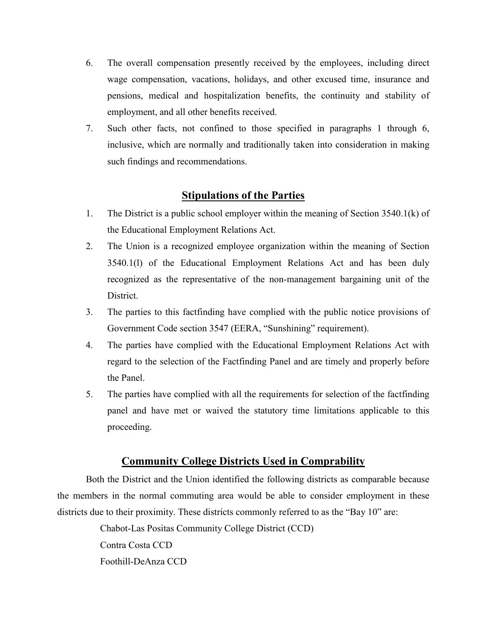- 6. The overall compensation presently received by the employees, including direct wage compensation, vacations, holidays, and other excused time, insurance and pensions, medical and hospitalization benefits, the continuity and stability of employment, and all other benefits received.
- 7. Such other facts, not confined to those specified in paragraphs 1 through 6, inclusive, which are normally and traditionally taken into consideration in making such findings and recommendations.

# **Stipulations of the Parties**

- 1. The District is a public school employer within the meaning of Section 3540.1(k) of the Educational Employment Relations Act.
- 2. The Union is a recognized employee organization within the meaning of Section 3540.1(l) of the Educational Employment Relations Act and has been duly recognized as the representative of the non-management bargaining unit of the District.
- 3. The parties to this factfinding have complied with the public notice provisions of Government Code section 3547 (EERA, "Sunshining" requirement).
- 4. The parties have complied with the Educational Employment Relations Act with regard to the selection of the Factfinding Panel and are timely and properly before the Panel.
- 5. The parties have complied with all the requirements for selection of the factfinding panel and have met or waived the statutory time limitations applicable to this proceeding.

# **Community College Districts Used in Comprability**

Both the District and the Union identified the following districts as comparable because the members in the normal commuting area would be able to consider employment in these districts due to their proximity. These districts commonly referred to as the "Bay 10" are:

Chabot-Las Positas Community College District (CCD)

Contra Costa CCD

Foothill-DeAnza CCD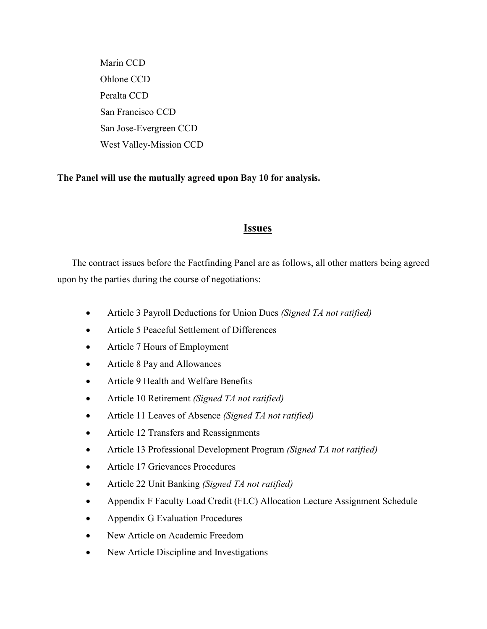Marin CCD Ohlone CCD Peralta CCD San Francisco CCD San Jose-Evergreen CCD West Valley-Mission CCD

## **The Panel will use the mutually agreed upon Bay 10 for analysis.**

## **Issues**

The contract issues before the Factfinding Panel are as follows, all other matters being agreed upon by the parties during the course of negotiations:

- Article 3 Payroll Deductions for Union Dues *(Signed TA not ratified)*
- Article 5 Peaceful Settlement of Differences
- Article 7 Hours of Employment
- Article 8 Pay and Allowances
- Article 9 Health and Welfare Benefits
- Article 10 Retirement *(Signed TA not ratified)*
- Article 11 Leaves of Absence *(Signed TA not ratified)*
- Article 12 Transfers and Reassignments
- Article 13 Professional Development Program *(Signed TA not ratified)*
- Article 17 Grievances Procedures
- Article 22 Unit Banking *(Signed TA not ratified)*
- Appendix F Faculty Load Credit (FLC) Allocation Lecture Assignment Schedule
- Appendix G Evaluation Procedures
- New Article on Academic Freedom
- New Article Discipline and Investigations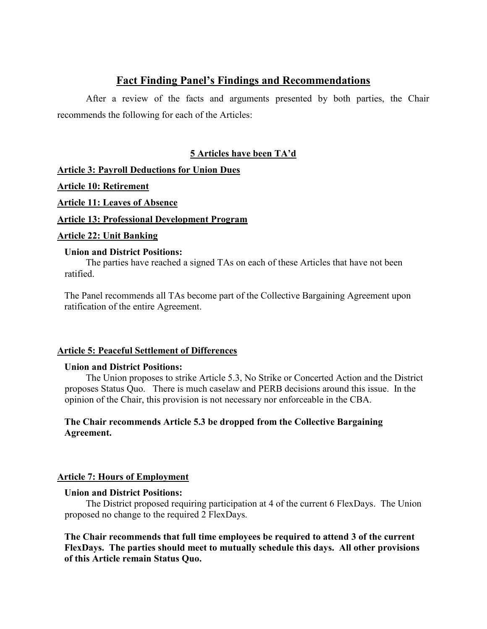# **Fact Finding Panel's Findings and Recommendations**

After a review of the facts and arguments presented by both parties, the Chair recommends the following for each of the Articles:

## **5 Articles have been TA'd**

**Article 3: Payroll Deductions for Union Dues**

**Article 10: Retirement**

**Article 11: Leaves of Absence**

**Article 13: Professional Development Program**

## **Article 22: Unit Banking**

## **Union and District Positions:**

The parties have reached a signed TAs on each of these Articles that have not been ratified.

The Panel recommends all TAs become part of the Collective Bargaining Agreement upon ratification of the entire Agreement.

## **Article 5: Peaceful Settlement of Differences**

## **Union and District Positions:**

The Union proposes to strike Article 5.3, No Strike or Concerted Action and the District proposes Status Quo. There is much caselaw and PERB decisions around this issue. In the opinion of the Chair, this provision is not necessary nor enforceable in the CBA.

## **The Chair recommends Article 5.3 be dropped from the Collective Bargaining Agreement.**

## **Article 7: Hours of Employment**

## **Union and District Positions:**

The District proposed requiring participation at 4 of the current 6 FlexDays. The Union proposed no change to the required 2 FlexDays.

**The Chair recommends that full time employees be required to attend 3 of the current FlexDays. The parties should meet to mutually schedule this days. All other provisions of this Article remain Status Quo.**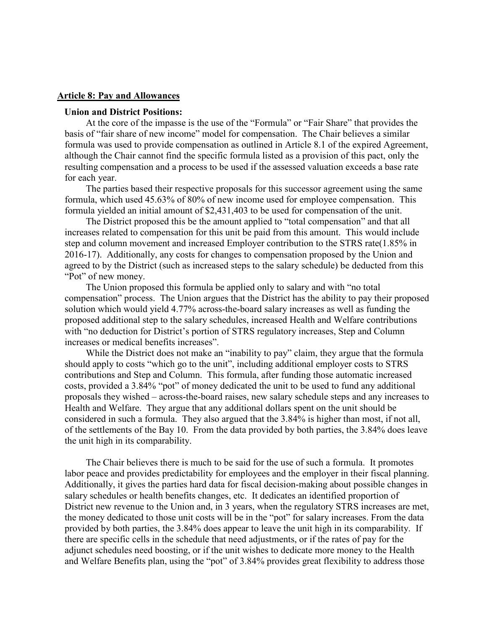#### **Article 8: Pay and Allowances**

#### **Union and District Positions:**

At the core of the impasse is the use of the "Formula" or "Fair Share" that provides the basis of "fair share of new income" model for compensation. The Chair believes a similar formula was used to provide compensation as outlined in Article 8.1 of the expired Agreement, although the Chair cannot find the specific formula listed as a provision of this pact, only the resulting compensation and a process to be used if the assessed valuation exceeds a base rate for each year.

The parties based their respective proposals for this successor agreement using the same formula, which used 45.63% of 80% of new income used for employee compensation. This formula yielded an initial amount of \$2,431,403 to be used for compensation of the unit.

The District proposed this be the amount applied to "total compensation" and that all increases related to compensation for this unit be paid from this amount. This would include step and column movement and increased Employer contribution to the STRS rate(1.85% in 2016-17). Additionally, any costs for changes to compensation proposed by the Union and agreed to by the District (such as increased steps to the salary schedule) be deducted from this "Pot" of new money.

The Union proposed this formula be applied only to salary and with "no total compensation" process. The Union argues that the District has the ability to pay their proposed solution which would yield 4.77% across-the-board salary increases as well as funding the proposed additional step to the salary schedules, increased Health and Welfare contributions with "no deduction for District's portion of STRS regulatory increases, Step and Column increases or medical benefits increases".

While the District does not make an "inability to pay" claim, they argue that the formula should apply to costs "which go to the unit", including additional employer costs to STRS contributions and Step and Column. This formula, after funding those automatic increased costs, provided a 3.84% "pot" of money dedicated the unit to be used to fund any additional proposals they wished – across-the-board raises, new salary schedule steps and any increases to Health and Welfare. They argue that any additional dollars spent on the unit should be considered in such a formula. They also argued that the 3.84% is higher than most, if not all, of the settlements of the Bay 10. From the data provided by both parties, the 3.84% does leave the unit high in its comparability.

The Chair believes there is much to be said for the use of such a formula. It promotes labor peace and provides predictability for employees and the employer in their fiscal planning. Additionally, it gives the parties hard data for fiscal decision-making about possible changes in salary schedules or health benefits changes, etc. It dedicates an identified proportion of District new revenue to the Union and, in 3 years, when the regulatory STRS increases are met, the money dedicated to those unit costs will be in the "pot" for salary increases. From the data provided by both parties, the 3.84% does appear to leave the unit high in its comparability. If there are specific cells in the schedule that need adjustments, or if the rates of pay for the adjunct schedules need boosting, or if the unit wishes to dedicate more money to the Health and Welfare Benefits plan, using the "pot" of 3.84% provides great flexibility to address those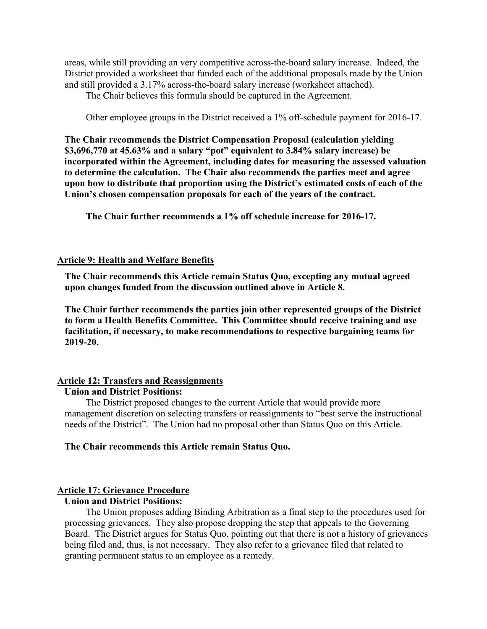areas, while still providing an very competitive across-the-board salary increase. Indeed, the District provided a worksheet that funded each of the additional proposals made by the Union and still provided a 3.17% across-the-board salary increase (worksheet attached).

The Chair believes this formula should be captured in the Agreement.

Other employee groups in the District received a 1% off-schedule payment for 2016-17.

**The Chair recommends the District Compensation Proposal (calculation yielding \$3,696,770 at 45.63% and a salary "pot" equivalent to 3.84% salary increase) be incorporated within the Agreement, including dates for measuring the assessed valuation to determine the calculation. The Chair also recommends the parties meet and agree upon how to distribute that proportion using the District's estimated costs of each of the Union's chosen compensation proposals for each of the years of the contract.** 

**The Chair further recommends a 1% off schedule increase for 2016-17.** 

## **Article 9: Health and Welfare Benefits**

**The Chair recommends this Article remain Status Quo, excepting any mutual agreed upon changes funded from the discussion outlined above in Article 8.** 

**The Chair further recommends the parties join other represented groups of the District to form a Health Benefits Committee. This Committee should receive training and use facilitation, if necessary, to make recommendations to respective bargaining teams for 2019-20.** 

## **Article 12: Transfers and Reassignments**

## **Union and District Positions:**

The District proposed changes to the current Article that would provide more management discretion on selecting transfers or reassignments to "best serve the instructional needs of the District". The Union had no proposal other than Status Quo on this Article.

## **The Chair recommends this Article remain Status Quo.**

## **Article 17: Grievance Procedure**

## **Union and District Positions:**

The Union proposes adding Binding Arbitration as a final step to the procedures used for processing grievances. They also propose dropping the step that appeals to the Governing Board. The District argues for Status Quo, pointing out that there is not a history of grievances being filed and, thus, is not necessary. They also refer to a grievance filed that related to granting permanent status to an employee as a remedy.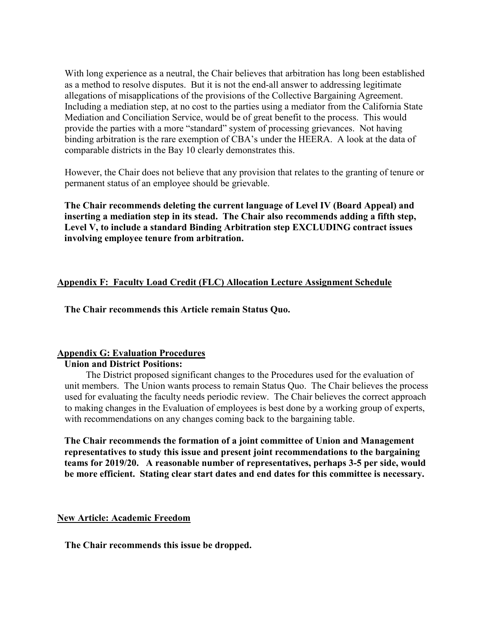With long experience as a neutral, the Chair believes that arbitration has long been established as a method to resolve disputes. But it is not the end-all answer to addressing legitimate allegations of misapplications of the provisions of the Collective Bargaining Agreement. Including a mediation step, at no cost to the parties using a mediator from the California State Mediation and Conciliation Service, would be of great benefit to the process. This would provide the parties with a more "standard" system of processing grievances. Not having binding arbitration is the rare exemption of CBA's under the HEERA. A look at the data of comparable districts in the Bay 10 clearly demonstrates this.

However, the Chair does not believe that any provision that relates to the granting of tenure or permanent status of an employee should be grievable.

**The Chair recommends deleting the current language of Level IV (Board Appeal) and inserting a mediation step in its stead. The Chair also recommends adding a fifth step, Level V, to include a standard Binding Arbitration step EXCLUDING contract issues involving employee tenure from arbitration.** 

## **Appendix F: Faculty Load Credit (FLC) Allocation Lecture Assignment Schedule**

**The Chair recommends this Article remain Status Quo.** 

## **Appendix G: Evaluation Procedures**

## **Union and District Positions:**

The District proposed significant changes to the Procedures used for the evaluation of unit members. The Union wants process to remain Status Quo. The Chair believes the process used for evaluating the faculty needs periodic review. The Chair believes the correct approach to making changes in the Evaluation of employees is best done by a working group of experts, with recommendations on any changes coming back to the bargaining table.

**The Chair recommends the formation of a joint committee of Union and Management representatives to study this issue and present joint recommendations to the bargaining teams for 2019/20. A reasonable number of representatives, perhaps 3-5 per side, would be more efficient. Stating clear start dates and end dates for this committee is necessary.** 

## **New Article: Academic Freedom**

**The Chair recommends this issue be dropped.**